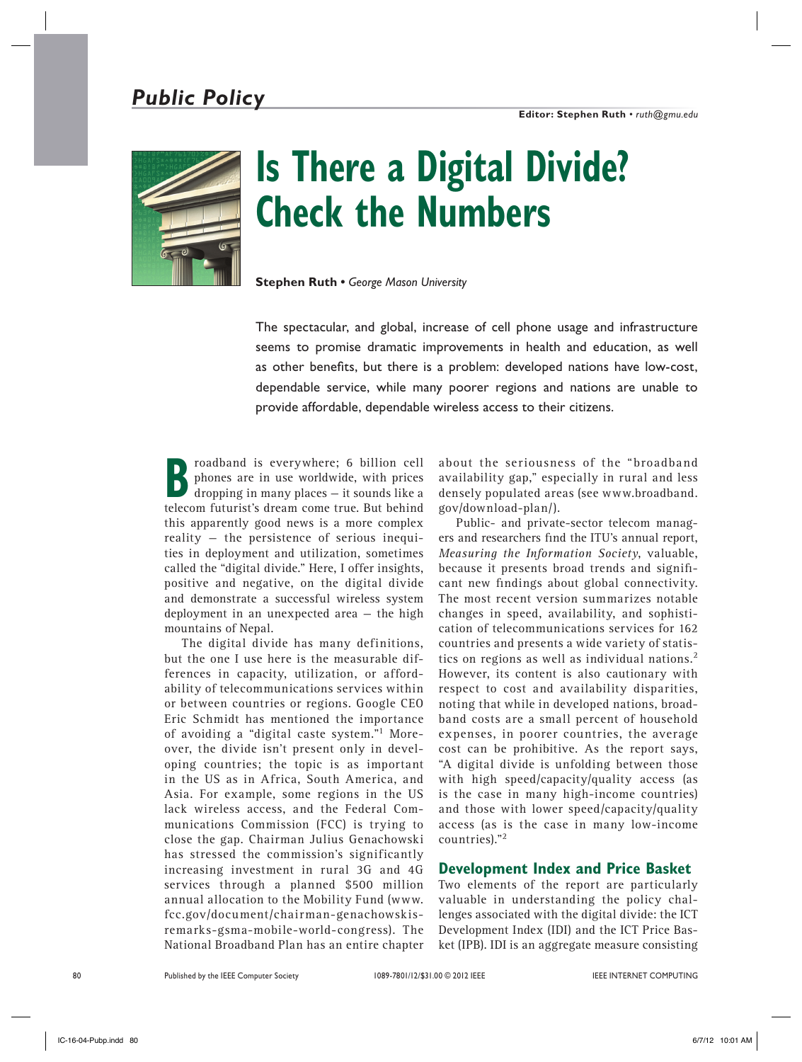## *Public Policy*



# **Is There a Digital Divide? Check the Numbers**

**Stephen Ruth •** *George Mason University*

The spectacular, and global, increase of cell phone usage and infrastructure seems to promise dramatic improvements in health and education, as well as other benefits, but there is a problem: developed nations have low-cost, dependable service, while many poorer regions and nations are unable to provide affordable, dependable wireless access to their citizens.

**Broadband is everywhere; 6 billion cell**<br>phones are in use worldwide, with prices<br>dropping in many places – it sounds like a phones are in use worldwide, with prices telecom futurist's dream come true. But behind this apparently good news is a more complex reality — the persistence of serious inequities in deployment and utilization, sometimes called the "digital divide." Here, I offer insights, positive and negative, on the digital divide and demonstrate a successful wireless system deployment in an unexpected area — the high mountains of Nepal.

The digital divide has many definitions, but the one I use here is the measurable differences in capacity, utilization, or affordability of telecommunications services within or between countries or regions. Google CEO Eric Schmidt has mentioned the importance of avoiding a "digital caste system."1 Moreover, the divide isn't present only in developing countries; the topic is as important in the US as in Africa, South America, and Asia. For example, some regions in the US lack wireless access, and the Federal Communications Commission (FCC) is trying to close the gap. Chairman Julius Genachowski has stressed the commission's significantly increasing investment in rural 3G and 4G services through a planned \$500 million annual allocation to the Mobility Fund (www. fcc.gov/document/chairman-genachowskisremarks-gsma-mobile-world-congress). The National Broadband Plan has an entire chapter

about the seriousness of the "broadband availability gap," especially in rural and less densely populated areas (see www.broadband. gov/download-plan/).

Public- and private-sector telecom managers and researchers find the ITU's annual report, *Measuring the Information Society*, valuable, because it presents broad trends and significant new findings about global connectivity. The most recent version summarizes notable changes in speed, availability, and sophistication of telecommunications services for 162 countries and presents a wide variety of statistics on regions as well as individual nations.<sup>2</sup> However, its content is also cautionary with respect to cost and availability disparities, noting that while in developed nations, broadband costs are a small percent of household expenses, in poorer countries, the average cost can be prohibitive. As the report says, "A digital divide is unfolding between those with high speed/capacity/quality access (as is the case in many high-income countries) and those with lower speed/capacity/quality access (as is the case in many low-income countries)."<sup>2</sup>

#### **Development Index and Price Basket**

Two elements of the report are particularly valuable in understanding the policy challenges associated with the digital divide: the ICT Development Index (IDI) and the ICT Price Basket (IPB). IDI is an aggregate measure consisting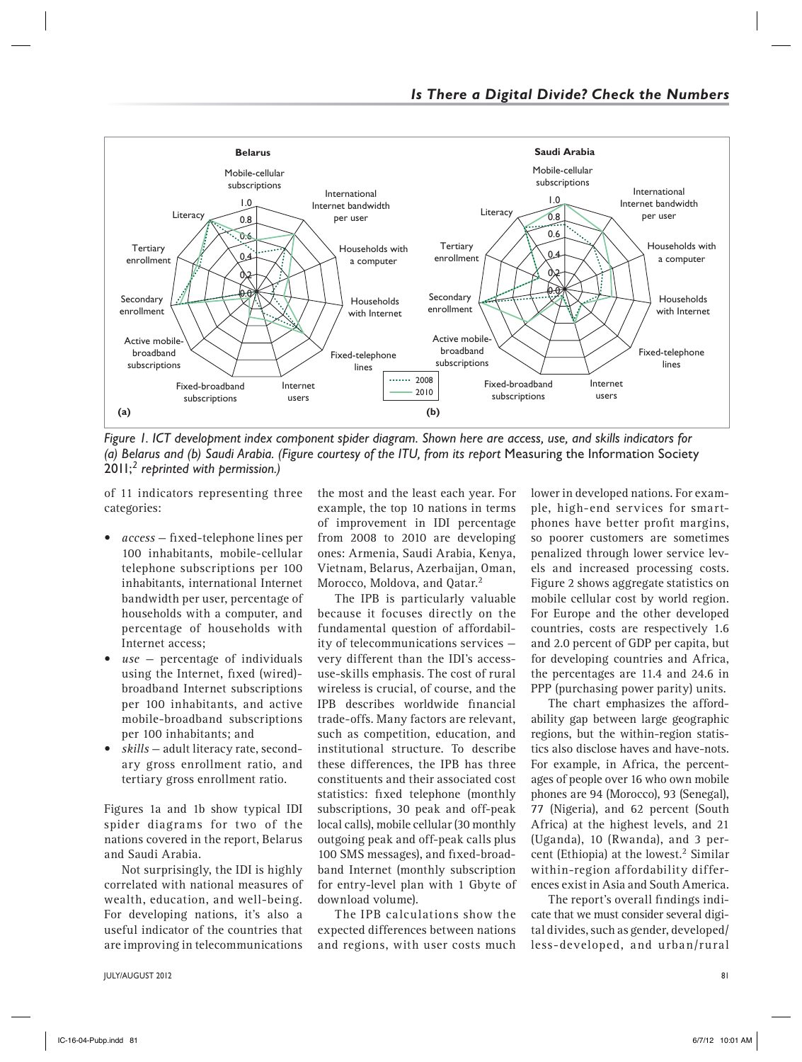

*Figure 1. ICT development index component spider diagram. Shown here are access, use, and skills indicators for*  (a) Belarus and (b) Saudi Arabia. (Figure courtesy of the ITU, from its report Measuring the Information Society 2011;*2 reprinted with permission.)*

of 11 indicators representing three categories:

- access fixed-telephone lines per 100 inhabitants, mobile-cellular telephone subscriptions per 100 inhabitants, international Internet bandwidth per user, percentage of households with a computer, and percentage of households with Internet access;
- $use$  percentage of individuals using the Internet, fixed (wired) broadband Internet subscriptions per 100 inhabitants, and active mobile-broadband subscriptions per 100 inhabitants; and
- skills adult literacy rate, secondary gross enrollment ratio, and tertiary gross enrollment ratio.

Figures 1a and 1b show typical IDI spider diagrams for two of the nations covered in the report, Belarus and Saudi Arabia.

Not surprisingly, the IDI is highly correlated with national measures of wealth, education, and well-being. For developing nations, it's also a useful indicator of the countries that are improving in telecommunications

JULY/AUGUST 2012 81

the most and the least each year. For example, the top 10 nations in terms of improvement in IDI percentage from 2008 to 2010 are developing ones: Armenia, Saudi Arabia, Kenya, Vietnam, Belarus, Azerbaijan, Oman, Morocco, Moldova, and Qatar.<sup>2</sup>

The IPB is particularly valuable because it focuses directly on the fundamental question of affordability of telecommunications services very different than the IDI's accessuse-skills emphasis. The cost of rural wireless is crucial, of course, and the IPB describes worldwide financial trade-offs. Many factors are relevant, such as competition, education, and institutional structure. To describe these differences, the IPB has three constituents and their associated cost statistics: fixed telephone (monthly subscriptions, 30 peak and off-peak local calls), mobile cellular (30 monthly outgoing peak and off-peak calls plus 100 SMS messages), and fixed-broadband Internet (monthly subscription for entry-level plan with 1 Gbyte of download volume).

The IPB calculations show the expected differences between nations and regions, with user costs much

lower in developed nations. For example, high-end services for smartphones have better profit margins, so poorer customers are sometimes penalized through lower service levels and increased processing costs. Figure 2 shows aggregate statistics on mobile cellular cost by world region. For Europe and the other developed countries, costs are respectively 1.6 and 2.0 percent of GDP per capita, but for developing countries and Africa, the percentages are 11.4 and 24.6 in PPP (purchasing power parity) units.

The chart emphasizes the affordability gap between large geographic regions, but the within-region statistics also disclose haves and have-nots. For example, in Africa, the percentages of people over 16 who own mobile phones are 94 (Morocco), 93 (Senegal), 77 (Nigeria), and 62 percent (South Africa) at the highest levels, and 21 (Uganda), 10 (Rwanda), and 3 percent (Ethiopia) at the lowest.<sup>2</sup> Similar within-region affordability differences exist in Asia and South America.

The report's overall findings indicate that we must consider several digital divides, such as gender, developed/ less-developed, and urban/rural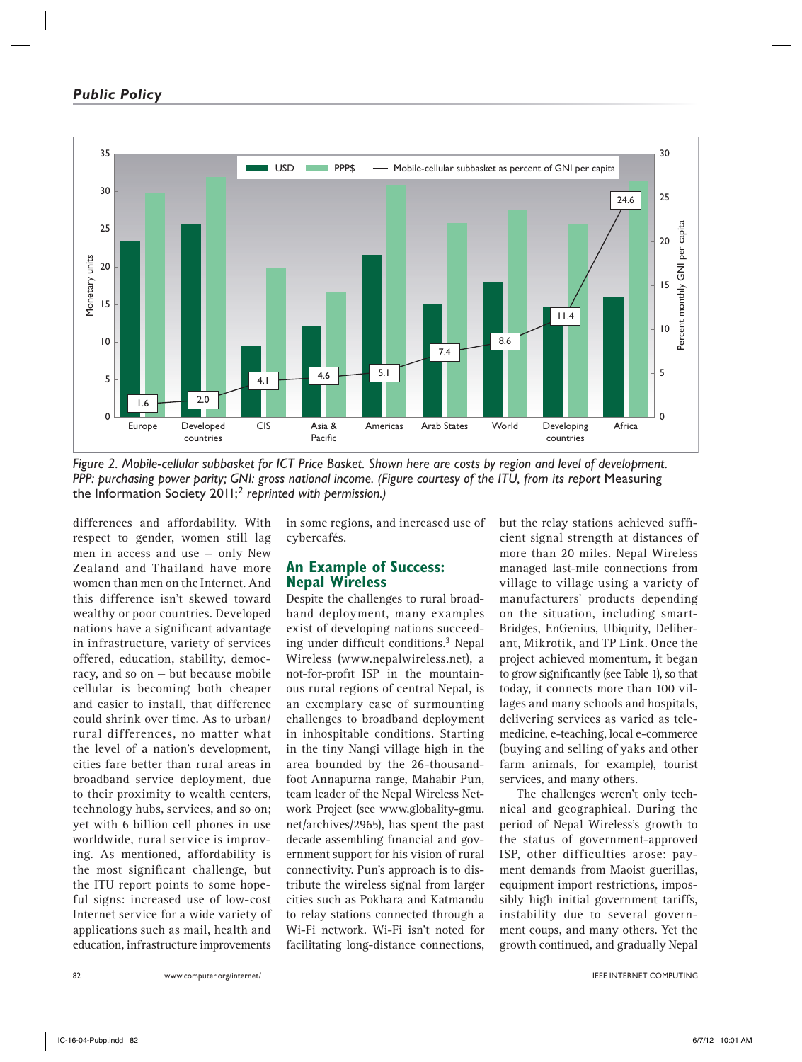#### *Public Policy*



*Figure 2. Mobile-cellular subbasket for ICT Price Basket. Shown here are costs by region and level of development. PPP: purchasing power parity; GNI: gross national income. (Figure courtesy of the ITU, from its report Measuring* the Information Society 2011;*2 reprinted with permission.)*

differences and affordability. With respect to gender, women still lag men in access and use — only New Zealand and Thailand have more women than men on the Internet. And this difference isn't skewed toward wealthy or poor countries. Developed nations have a significant advantage in infrastructure, variety of services offered, education, stability, democracy, and so on — but because mobile cellular is becoming both cheaper and easier to install, that difference could shrink over time. As to urban/ rural differences, no matter what the level of a nation's development, cities fare better than rural areas in broadband service deployment, due to their proximity to wealth centers, technology hubs, services, and so on; yet with 6 billion cell phones in use worldwide, rural service is improving. As mentioned, affordability is the most significant challenge, but the ITU report points to some hopeful signs: increased use of low-cost Internet service for a wide variety of applications such as mail, health and education, infrastructure improvements

in some regions, and increased use of cybercafés.

#### **An Example of Success: Nepal Wireless**

Despite the challenges to rural broadband deployment, many examples exist of developing nations succeeding under difficult conditions.<sup>3</sup> Nepal Wireless (www.nepalwireless.net), a not-for-profit ISP in the mountainous rural regions of central Nepal, is an exemplary case of surmounting challenges to broadband deployment in inhospitable conditions. Starting in the tiny Nangi village high in the area bounded by the 26-thousandfoot Annapurna range, Mahabir Pun, team leader of the Nepal Wireless Network Project (see www.globality-gmu. net/archives/2965), has spent the past decade assembling financial and government support for his vision of rural connectivity. Pun's approach is to distribute the wireless signal from larger cities such as Pokhara and Katmandu to relay stations connected through a Wi-Fi network. Wi-Fi isn't noted for facilitating long-distance connections,

but the relay stations achieved sufficient signal strength at distances of more than 20 miles. Nepal Wireless managed last-mile connections from village to village using a variety of manufacturers' products depending on the situation, including smart-Bridges, EnGenius, Ubiquity, Deliberant, Mikrotik, and TP Link. Once the project achieved momentum, it began to grow significantly (see Table 1), so that today, it connects more than 100 villages and many schools and hospitals, delivering services as varied as telemedicine, e-teaching, local e-commerce (buying and selling of yaks and other farm animals, for example), tourist services, and many others.

The challenges weren't only technical and geographical. During the period of Nepal Wireless's growth to the status of government-approved ISP, other difficulties arose: payment demands from Maoist guerillas, equipment import restrictions, impossibly high initial government tariffs, instability due to several government coups, and many others. Yet the growth continued, and gradually Nepal